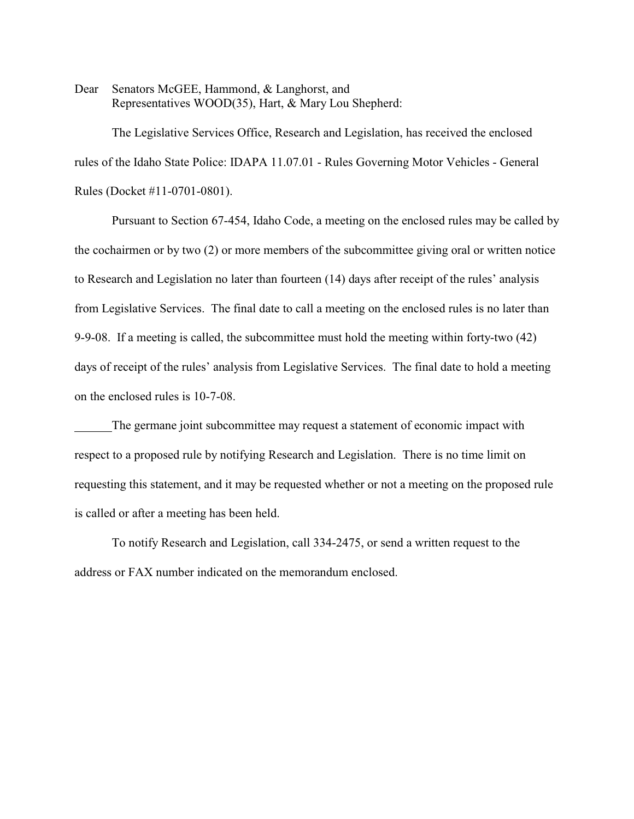Dear Senators McGEE, Hammond, & Langhorst, and Representatives WOOD(35), Hart, & Mary Lou Shepherd:

The Legislative Services Office, Research and Legislation, has received the enclosed rules of the Idaho State Police: IDAPA 11.07.01 - Rules Governing Motor Vehicles - General Rules (Docket #11-0701-0801).

Pursuant to Section 67-454, Idaho Code, a meeting on the enclosed rules may be called by the cochairmen or by two (2) or more members of the subcommittee giving oral or written notice to Research and Legislation no later than fourteen (14) days after receipt of the rules' analysis from Legislative Services. The final date to call a meeting on the enclosed rules is no later than 9-9-08. If a meeting is called, the subcommittee must hold the meeting within forty-two (42) days of receipt of the rules' analysis from Legislative Services. The final date to hold a meeting on the enclosed rules is 10-7-08.

The germane joint subcommittee may request a statement of economic impact with respect to a proposed rule by notifying Research and Legislation. There is no time limit on requesting this statement, and it may be requested whether or not a meeting on the proposed rule is called or after a meeting has been held.

To notify Research and Legislation, call 334-2475, or send a written request to the address or FAX number indicated on the memorandum enclosed.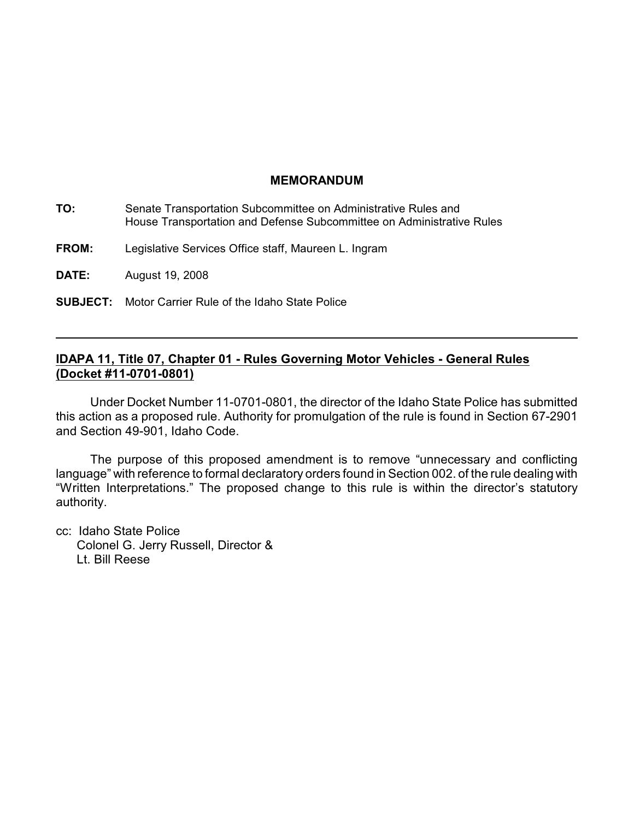### **MEMORANDUM**

| TO:          | Senate Transportation Subcommittee on Administrative Rules and<br>House Transportation and Defense Subcommittee on Administrative Rules |
|--------------|-----------------------------------------------------------------------------------------------------------------------------------------|
| <b>FROM:</b> | Legislative Services Office staff, Maureen L. Ingram                                                                                    |
| <b>DATE:</b> | August 19, 2008                                                                                                                         |
|              | <b>SUBJECT:</b> Motor Carrier Rule of the Idaho State Police                                                                            |

# **IDAPA 11, Title 07, Chapter 01 - Rules Governing Motor Vehicles - General Rules (Docket #11-0701-0801)**

Under Docket Number 11-0701-0801, the director of the Idaho State Police has submitted this action as a proposed rule. Authority for promulgation of the rule is found in Section 67-2901 and Section 49-901, Idaho Code.

The purpose of this proposed amendment is to remove "unnecessary and conflicting language" with reference to formal declaratory orders found in Section 002. of the rule dealing with "Written Interpretations." The proposed change to this rule is within the director's statutory authority.

cc: Idaho State Police Colonel G. Jerry Russell, Director & Lt. Bill Reese